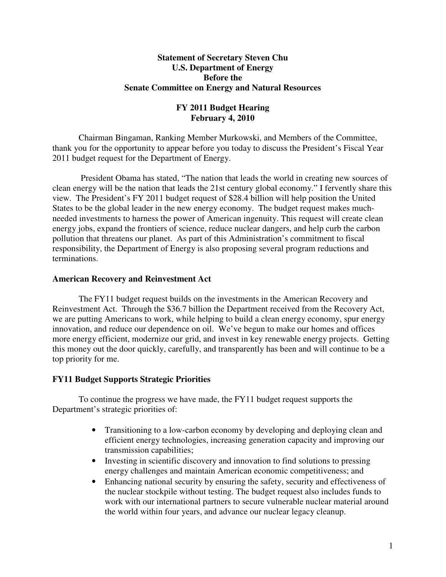#### **Statement of Secretary Steven Chu U.S. Department of Energy Before the Senate Committee on Energy and Natural Resources**

#### **FY 2011 Budget Hearing February 4, 2010**

Chairman Bingaman, Ranking Member Murkowski, and Members of the Committee, thank you for the opportunity to appear before you today to discuss the President's Fiscal Year 2011 budget request for the Department of Energy.

 President Obama has stated, "The nation that leads the world in creating new sources of clean energy will be the nation that leads the 21st century global economy." I fervently share this view. The President's FY 2011 budget request of \$28.4 billion will help position the United States to be the global leader in the new energy economy. The budget request makes muchneeded investments to harness the power of American ingenuity. This request will create clean energy jobs, expand the frontiers of science, reduce nuclear dangers, and help curb the carbon pollution that threatens our planet. As part of this Administration's commitment to fiscal responsibility, the Department of Energy is also proposing several program reductions and terminations.

#### **American Recovery and Reinvestment Act**

The FY11 budget request builds on the investments in the American Recovery and Reinvestment Act. Through the \$36.7 billion the Department received from the Recovery Act, we are putting Americans to work, while helping to build a clean energy economy, spur energy innovation, and reduce our dependence on oil. We've begun to make our homes and offices more energy efficient, modernize our grid, and invest in key renewable energy projects. Getting this money out the door quickly, carefully, and transparently has been and will continue to be a top priority for me.

#### **FY11 Budget Supports Strategic Priorities**

To continue the progress we have made, the FY11 budget request supports the Department's strategic priorities of:

- Transitioning to a low-carbon economy by developing and deploying clean and efficient energy technologies, increasing generation capacity and improving our transmission capabilities;
- Investing in scientific discovery and innovation to find solutions to pressing energy challenges and maintain American economic competitiveness; and
- Enhancing national security by ensuring the safety, security and effectiveness of the nuclear stockpile without testing. The budget request also includes funds to work with our international partners to secure vulnerable nuclear material around the world within four years, and advance our nuclear legacy cleanup.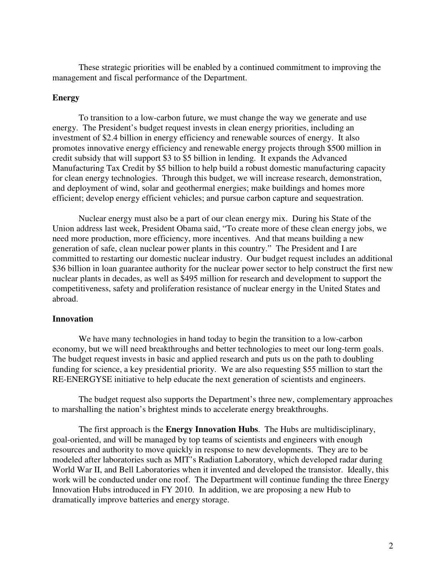These strategic priorities will be enabled by a continued commitment to improving the management and fiscal performance of the Department.

#### **Energy**

To transition to a low-carbon future, we must change the way we generate and use energy. The President's budget request invests in clean energy priorities, including an investment of \$2.4 billion in energy efficiency and renewable sources of energy. It also promotes innovative energy efficiency and renewable energy projects through \$500 million in credit subsidy that will support \$3 to \$5 billion in lending. It expands the Advanced Manufacturing Tax Credit by \$5 billion to help build a robust domestic manufacturing capacity for clean energy technologies. Through this budget, we will increase research, demonstration, and deployment of wind, solar and geothermal energies; make buildings and homes more efficient; develop energy efficient vehicles; and pursue carbon capture and sequestration.

Nuclear energy must also be a part of our clean energy mix. During his State of the Union address last week, President Obama said, "To create more of these clean energy jobs, we need more production, more efficiency, more incentives. And that means building a new generation of safe, clean nuclear power plants in this country." The President and I are committed to restarting our domestic nuclear industry. Our budget request includes an additional \$36 billion in loan guarantee authority for the nuclear power sector to help construct the first new nuclear plants in decades, as well as \$495 million for research and development to support the competitiveness, safety and proliferation resistance of nuclear energy in the United States and abroad.

#### **Innovation**

We have many technologies in hand today to begin the transition to a low-carbon economy, but we will need breakthroughs and better technologies to meet our long-term goals. The budget request invests in basic and applied research and puts us on the path to doubling funding for science, a key presidential priority. We are also requesting \$55 million to start the RE-ENERGYSE initiative to help educate the next generation of scientists and engineers.

The budget request also supports the Department's three new, complementary approaches to marshalling the nation's brightest minds to accelerate energy breakthroughs.

The first approach is the **Energy Innovation Hubs**. The Hubs are multidisciplinary, goal-oriented, and will be managed by top teams of scientists and engineers with enough resources and authority to move quickly in response to new developments. They are to be modeled after laboratories such as MIT's Radiation Laboratory, which developed radar during World War II, and Bell Laboratories when it invented and developed the transistor. Ideally, this work will be conducted under one roof. The Department will continue funding the three Energy Innovation Hubs introduced in FY 2010. In addition, we are proposing a new Hub to dramatically improve batteries and energy storage.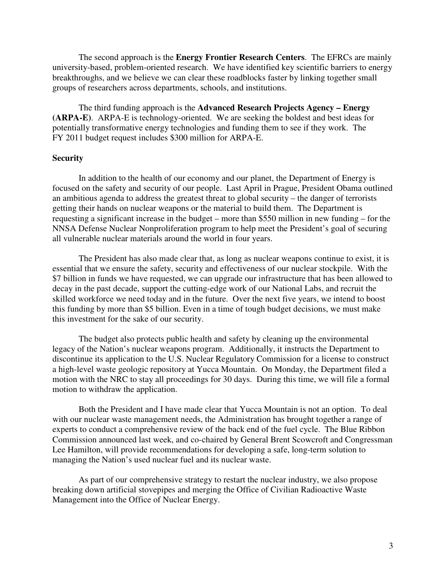The second approach is the **Energy Frontier Research Centers**. The EFRCs are mainly university-based, problem-oriented research. We have identified key scientific barriers to energy breakthroughs, and we believe we can clear these roadblocks faster by linking together small groups of researchers across departments, schools, and institutions.

The third funding approach is the **Advanced Research Projects Agency – Energy (ARPA-E)**. ARPA-E is technology-oriented. We are seeking the boldest and best ideas for potentially transformative energy technologies and funding them to see if they work. The FY 2011 budget request includes \$300 million for ARPA-E.

#### **Security**

 In addition to the health of our economy and our planet, the Department of Energy is focused on the safety and security of our people. Last April in Prague, President Obama outlined an ambitious agenda to address the greatest threat to global security – the danger of terrorists getting their hands on nuclear weapons or the material to build them. The Department is requesting a significant increase in the budget – more than \$550 million in new funding – for the NNSA Defense Nuclear Nonproliferation program to help meet the President's goal of securing all vulnerable nuclear materials around the world in four years.

The President has also made clear that, as long as nuclear weapons continue to exist, it is essential that we ensure the safety, security and effectiveness of our nuclear stockpile. With the \$7 billion in funds we have requested, we can upgrade our infrastructure that has been allowed to decay in the past decade, support the cutting-edge work of our National Labs, and recruit the skilled workforce we need today and in the future. Over the next five years, we intend to boost this funding by more than \$5 billion. Even in a time of tough budget decisions, we must make this investment for the sake of our security.

The budget also protects public health and safety by cleaning up the environmental legacy of the Nation's nuclear weapons program. Additionally, it instructs the Department to discontinue its application to the U.S. Nuclear Regulatory Commission for a license to construct a high-level waste geologic repository at Yucca Mountain. On Monday, the Department filed a motion with the NRC to stay all proceedings for 30 days. During this time, we will file a formal motion to withdraw the application.

 Both the President and I have made clear that Yucca Mountain is not an option. To deal with our nuclear waste management needs, the Administration has brought together a range of experts to conduct a comprehensive review of the back end of the fuel cycle. The Blue Ribbon Commission announced last week, and co-chaired by General Brent Scowcroft and Congressman Lee Hamilton, will provide recommendations for developing a safe, long-term solution to managing the Nation's used nuclear fuel and its nuclear waste.

As part of our comprehensive strategy to restart the nuclear industry, we also propose breaking down artificial stovepipes and merging the Office of Civilian Radioactive Waste Management into the Office of Nuclear Energy.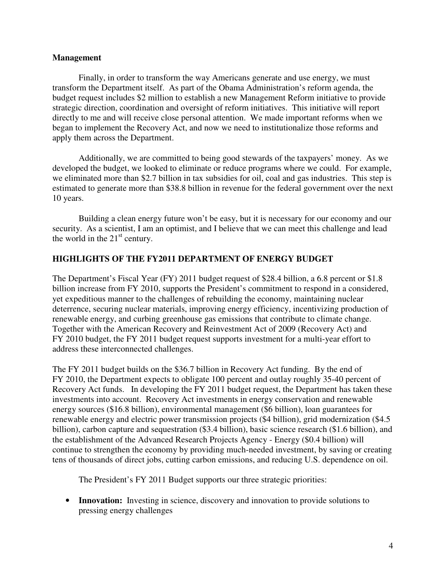#### **Management**

Finally, in order to transform the way Americans generate and use energy, we must transform the Department itself. As part of the Obama Administration's reform agenda, the budget request includes \$2 million to establish a new Management Reform initiative to provide strategic direction, coordination and oversight of reform initiatives. This initiative will report directly to me and will receive close personal attention. We made important reforms when we began to implement the Recovery Act, and now we need to institutionalize those reforms and apply them across the Department.

 Additionally, we are committed to being good stewards of the taxpayers' money. As we developed the budget, we looked to eliminate or reduce programs where we could. For example, we eliminated more than \$2.7 billion in tax subsidies for oil, coal and gas industries. This step is estimated to generate more than \$38.8 billion in revenue for the federal government over the next 10 years.

Building a clean energy future won't be easy, but it is necessary for our economy and our security. As a scientist, I am an optimist, and I believe that we can meet this challenge and lead the world in the  $21<sup>st</sup>$  century.

#### **HIGHLIGHTS OF THE FY2011 DEPARTMENT OF ENERGY BUDGET**

The Department's Fiscal Year (FY) 2011 budget request of \$28.4 billion, a 6.8 percent or \$1.8 billion increase from FY 2010, supports the President's commitment to respond in a considered, yet expeditious manner to the challenges of rebuilding the economy, maintaining nuclear deterrence, securing nuclear materials, improving energy efficiency, incentivizing production of renewable energy, and curbing greenhouse gas emissions that contribute to climate change. Together with the American Recovery and Reinvestment Act of 2009 (Recovery Act) and FY 2010 budget, the FY 2011 budget request supports investment for a multi-year effort to address these interconnected challenges.

The FY 2011 budget builds on the \$36.7 billion in Recovery Act funding. By the end of FY 2010, the Department expects to obligate 100 percent and outlay roughly 35-40 percent of Recovery Act funds. In developing the FY 2011 budget request, the Department has taken these investments into account. Recovery Act investments in energy conservation and renewable energy sources (\$16.8 billion), environmental management (\$6 billion), loan guarantees for renewable energy and electric power transmission projects (\$4 billion), grid modernization (\$4.5 billion), carbon capture and sequestration (\$3.4 billion), basic science research (\$1.6 billion), and the establishment of the Advanced Research Projects Agency - Energy (\$0.4 billion) will continue to strengthen the economy by providing much-needed investment, by saving or creating tens of thousands of direct jobs, cutting carbon emissions, and reducing U.S. dependence on oil.

The President's FY 2011 Budget supports our three strategic priorities:

• **Innovation:** Investing in science, discovery and innovation to provide solutions to pressing energy challenges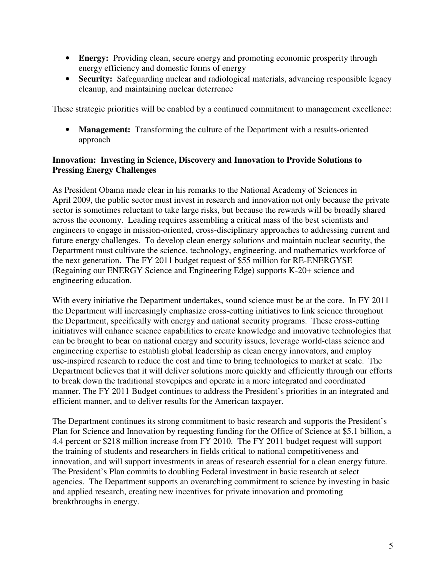- **Energy:** Providing clean, secure energy and promoting economic prosperity through energy efficiency and domestic forms of energy
- **Security:** Safeguarding nuclear and radiological materials, advancing responsible legacy cleanup, and maintaining nuclear deterrence

These strategic priorities will be enabled by a continued commitment to management excellence:

**Management:** Transforming the culture of the Department with a results-oriented approach

## **Innovation: Investing in Science, Discovery and Innovation to Provide Solutions to Pressing Energy Challenges**

As President Obama made clear in his remarks to the National Academy of Sciences in April 2009, the public sector must invest in research and innovation not only because the private sector is sometimes reluctant to take large risks, but because the rewards will be broadly shared across the economy. Leading requires assembling a critical mass of the best scientists and engineers to engage in mission-oriented, cross-disciplinary approaches to addressing current and future energy challenges. To develop clean energy solutions and maintain nuclear security, the Department must cultivate the science, technology, engineering, and mathematics workforce of the next generation. The FY 2011 budget request of \$55 million for RE-ENERGYSE (Regaining our ENERGY Science and Engineering Edge) supports K-20+ science and engineering education.

With every initiative the Department undertakes, sound science must be at the core. In FY 2011 the Department will increasingly emphasize cross-cutting initiatives to link science throughout the Department, specifically with energy and national security programs. These cross-cutting initiatives will enhance science capabilities to create knowledge and innovative technologies that can be brought to bear on national energy and security issues, leverage world-class science and engineering expertise to establish global leadership as clean energy innovators, and employ use-inspired research to reduce the cost and time to bring technologies to market at scale. The Department believes that it will deliver solutions more quickly and efficiently through our efforts to break down the traditional stovepipes and operate in a more integrated and coordinated manner. The FY 2011 Budget continues to address the President's priorities in an integrated and efficient manner, and to deliver results for the American taxpayer.

The Department continues its strong commitment to basic research and supports the President's Plan for Science and Innovation by requesting funding for the Office of Science at \$5.1 billion, a 4.4 percent or \$218 million increase from FY 2010. The FY 2011 budget request will support the training of students and researchers in fields critical to national competitiveness and innovation, and will support investments in areas of research essential for a clean energy future. The President's Plan commits to doubling Federal investment in basic research at select agencies. The Department supports an overarching commitment to science by investing in basic and applied research, creating new incentives for private innovation and promoting breakthroughs in energy.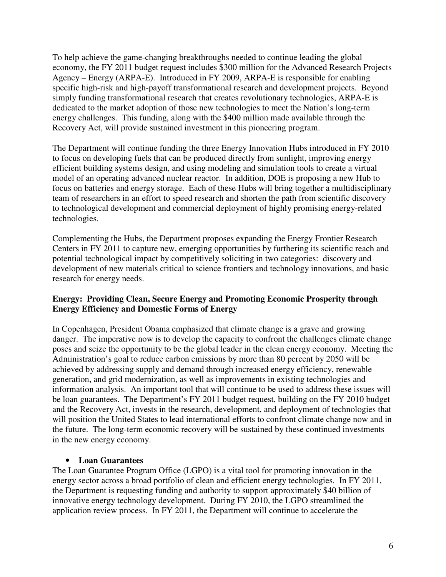To help achieve the game-changing breakthroughs needed to continue leading the global economy, the FY 2011 budget request includes \$300 million for the Advanced Research Projects Agency – Energy (ARPA-E). Introduced in FY 2009, ARPA-E is responsible for enabling specific high-risk and high-payoff transformational research and development projects. Beyond simply funding transformational research that creates revolutionary technologies, ARPA-E is dedicated to the market adoption of those new technologies to meet the Nation's long-term energy challenges. This funding, along with the \$400 million made available through the Recovery Act, will provide sustained investment in this pioneering program.

The Department will continue funding the three Energy Innovation Hubs introduced in FY 2010 to focus on developing fuels that can be produced directly from sunlight, improving energy efficient building systems design, and using modeling and simulation tools to create a virtual model of an operating advanced nuclear reactor. In addition, DOE is proposing a new Hub to focus on batteries and energy storage. Each of these Hubs will bring together a multidisciplinary team of researchers in an effort to speed research and shorten the path from scientific discovery to technological development and commercial deployment of highly promising energy-related technologies.

Complementing the Hubs, the Department proposes expanding the Energy Frontier Research Centers in FY 2011 to capture new, emerging opportunities by furthering its scientific reach and potential technological impact by competitively soliciting in two categories: discovery and development of new materials critical to science frontiers and technology innovations, and basic research for energy needs.

# **Energy: Providing Clean, Secure Energy and Promoting Economic Prosperity through Energy Efficiency and Domestic Forms of Energy**

In Copenhagen, President Obama emphasized that climate change is a grave and growing danger. The imperative now is to develop the capacity to confront the challenges climate change poses and seize the opportunity to be the global leader in the clean energy economy. Meeting the Administration's goal to reduce carbon emissions by more than 80 percent by 2050 will be achieved by addressing supply and demand through increased energy efficiency, renewable generation, and grid modernization, as well as improvements in existing technologies and information analysis. An important tool that will continue to be used to address these issues will be loan guarantees. The Department's FY 2011 budget request, building on the FY 2010 budget and the Recovery Act, invests in the research, development, and deployment of technologies that will position the United States to lead international efforts to confront climate change now and in the future. The long-term economic recovery will be sustained by these continued investments in the new energy economy.

## • **Loan Guarantees**

The Loan Guarantee Program Office (LGPO) is a vital tool for promoting innovation in the energy sector across a broad portfolio of clean and efficient energy technologies. In FY 2011, the Department is requesting funding and authority to support approximately \$40 billion of innovative energy technology development. During FY 2010, the LGPO streamlined the application review process. In FY 2011, the Department will continue to accelerate the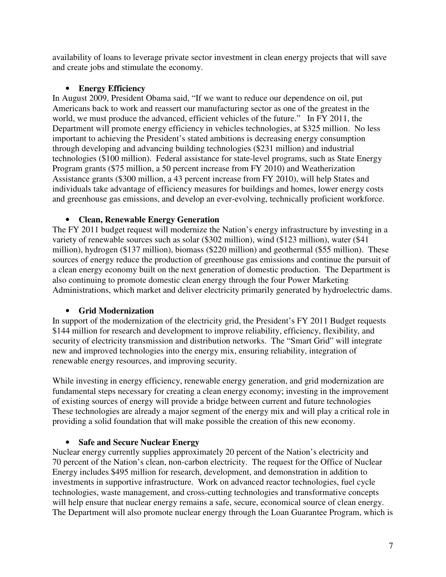availability of loans to leverage private sector investment in clean energy projects that will save and create jobs and stimulate the economy.

## • **Energy Efficiency**

In August 2009, President Obama said, "If we want to reduce our dependence on oil, put Americans back to work and reassert our manufacturing sector as one of the greatest in the world, we must produce the advanced, efficient vehicles of the future." In FY 2011, the Department will promote energy efficiency in vehicles technologies, at \$325 million. No less important to achieving the President's stated ambitions is decreasing energy consumption through developing and advancing building technologies (\$231 million) and industrial technologies (\$100 million). Federal assistance for state-level programs, such as State Energy Program grants (\$75 million, a 50 percent increase from FY 2010) and Weatherization Assistance grants (\$300 million, a 43 percent increase from FY 2010), will help States and individuals take advantage of efficiency measures for buildings and homes, lower energy costs and greenhouse gas emissions, and develop an ever-evolving, technically proficient workforce.

#### • **Clean, Renewable Energy Generation**

The FY 2011 budget request will modernize the Nation's energy infrastructure by investing in a variety of renewable sources such as solar (\$302 million), wind (\$123 million), water (\$41 million), hydrogen (\$137 million), biomass (\$220 million) and geothermal (\$55 million). These sources of energy reduce the production of greenhouse gas emissions and continue the pursuit of a clean energy economy built on the next generation of domestic production. The Department is also continuing to promote domestic clean energy through the four Power Marketing Administrations, which market and deliver electricity primarily generated by hydroelectric dams.

## • **Grid Modernization**

In support of the modernization of the electricity grid, the President's FY 2011 Budget requests \$144 million for research and development to improve reliability, efficiency, flexibility, and security of electricity transmission and distribution networks. The "Smart Grid" will integrate new and improved technologies into the energy mix, ensuring reliability, integration of renewable energy resources, and improving security.

While investing in energy efficiency, renewable energy generation, and grid modernization are fundamental steps necessary for creating a clean energy economy; investing in the improvement of existing sources of energy will provide a bridge between current and future technologies These technologies are already a major segment of the energy mix and will play a critical role in providing a solid foundation that will make possible the creation of this new economy.

#### • **Safe and Secure Nuclear Energy**

Nuclear energy currently supplies approximately 20 percent of the Nation's electricity and 70 percent of the Nation's clean, non-carbon electricity. The request for the Office of Nuclear Energy includes \$495 million for research, development, and demonstration in addition to investments in supportive infrastructure. Work on advanced reactor technologies, fuel cycle technologies, waste management, and cross-cutting technologies and transformative concepts will help ensure that nuclear energy remains a safe, secure, economical source of clean energy. The Department will also promote nuclear energy through the Loan Guarantee Program, which is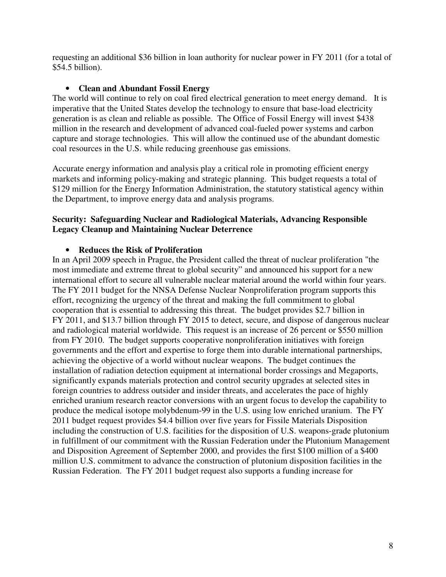requesting an additional \$36 billion in loan authority for nuclear power in FY 2011 (for a total of \$54.5 billion).

## • **Clean and Abundant Fossil Energy**

The world will continue to rely on coal fired electrical generation to meet energy demand. It is imperative that the United States develop the technology to ensure that base-load electricity generation is as clean and reliable as possible. The Office of Fossil Energy will invest \$438 million in the research and development of advanced coal-fueled power systems and carbon capture and storage technologies. This will allow the continued use of the abundant domestic coal resources in the U.S. while reducing greenhouse gas emissions.

Accurate energy information and analysis play a critical role in promoting efficient energy markets and informing policy-making and strategic planning. This budget requests a total of \$129 million for the Energy Information Administration, the statutory statistical agency within the Department, to improve energy data and analysis programs.

#### **Security: Safeguarding Nuclear and Radiological Materials, Advancing Responsible Legacy Cleanup and Maintaining Nuclear Deterrence**

#### • **Reduces the Risk of Proliferation**

In an April 2009 speech in Prague, the President called the threat of nuclear proliferation "the most immediate and extreme threat to global security" and announced his support for a new international effort to secure all vulnerable nuclear material around the world within four years. The FY 2011 budget for the NNSA Defense Nuclear Nonproliferation program supports this effort, recognizing the urgency of the threat and making the full commitment to global cooperation that is essential to addressing this threat. The budget provides \$2.7 billion in FY 2011, and \$13.7 billion through FY 2015 to detect, secure, and dispose of dangerous nuclear and radiological material worldwide. This request is an increase of 26 percent or \$550 million from FY 2010. The budget supports cooperative nonproliferation initiatives with foreign governments and the effort and expertise to forge them into durable international partnerships, achieving the objective of a world without nuclear weapons. The budget continues the installation of radiation detection equipment at international border crossings and Megaports, significantly expands materials protection and control security upgrades at selected sites in foreign countries to address outsider and insider threats, and accelerates the pace of highly enriched uranium research reactor conversions with an urgent focus to develop the capability to produce the medical isotope molybdenum-99 in the U.S. using low enriched uranium. The FY 2011 budget request provides \$4.4 billion over five years for Fissile Materials Disposition including the construction of U.S. facilities for the disposition of U.S. weapons-grade plutonium in fulfillment of our commitment with the Russian Federation under the Plutonium Management and Disposition Agreement of September 2000, and provides the first \$100 million of a \$400 million U.S. commitment to advance the construction of plutonium disposition facilities in the Russian Federation. The FY 2011 budget request also supports a funding increase for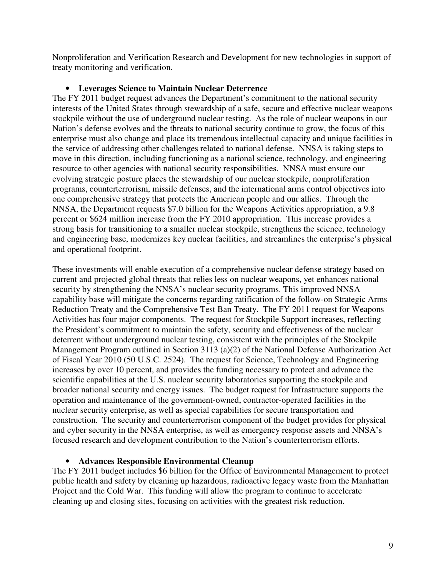Nonproliferation and Verification Research and Development for new technologies in support of treaty monitoring and verification.

#### • **Leverages Science to Maintain Nuclear Deterrence**

The FY 2011 budget request advances the Department's commitment to the national security interests of the United States through stewardship of a safe, secure and effective nuclear weapons stockpile without the use of underground nuclear testing. As the role of nuclear weapons in our Nation's defense evolves and the threats to national security continue to grow, the focus of this enterprise must also change and place its tremendous intellectual capacity and unique facilities in the service of addressing other challenges related to national defense. NNSA is taking steps to move in this direction, including functioning as a national science, technology, and engineering resource to other agencies with national security responsibilities. NNSA must ensure our evolving strategic posture places the stewardship of our nuclear stockpile, nonproliferation programs, counterterrorism, missile defenses, and the international arms control objectives into one comprehensive strategy that protects the American people and our allies. Through the NNSA, the Department requests \$7.0 billion for the Weapons Activities appropriation, a 9.8 percent or \$624 million increase from the FY 2010 appropriation. This increase provides a strong basis for transitioning to a smaller nuclear stockpile, strengthens the science, technology and engineering base, modernizes key nuclear facilities, and streamlines the enterprise's physical and operational footprint.

These investments will enable execution of a comprehensive nuclear defense strategy based on current and projected global threats that relies less on nuclear weapons, yet enhances national security by strengthening the NNSA's nuclear security programs. This improved NNSA capability base will mitigate the concerns regarding ratification of the follow-on Strategic Arms Reduction Treaty and the Comprehensive Test Ban Treaty. The FY 2011 request for Weapons Activities has four major components. The request for Stockpile Support increases, reflecting the President's commitment to maintain the safety, security and effectiveness of the nuclear deterrent without underground nuclear testing, consistent with the principles of the Stockpile Management Program outlined in Section 3113 (a)(2) of the National Defense Authorization Act of Fiscal Year 2010 (50 U.S.C. 2524). The request for Science, Technology and Engineering increases by over 10 percent, and provides the funding necessary to protect and advance the scientific capabilities at the U.S. nuclear security laboratories supporting the stockpile and broader national security and energy issues. The budget request for Infrastructure supports the operation and maintenance of the government-owned, contractor-operated facilities in the nuclear security enterprise, as well as special capabilities for secure transportation and construction. The security and counterterrorism component of the budget provides for physical and cyber security in the NNSA enterprise, as well as emergency response assets and NNSA's focused research and development contribution to the Nation's counterterrorism efforts.

## • **Advances Responsible Environmental Cleanup**

The FY 2011 budget includes \$6 billion for the Office of Environmental Management to protect public health and safety by cleaning up hazardous, radioactive legacy waste from the Manhattan Project and the Cold War. This funding will allow the program to continue to accelerate cleaning up and closing sites, focusing on activities with the greatest risk reduction.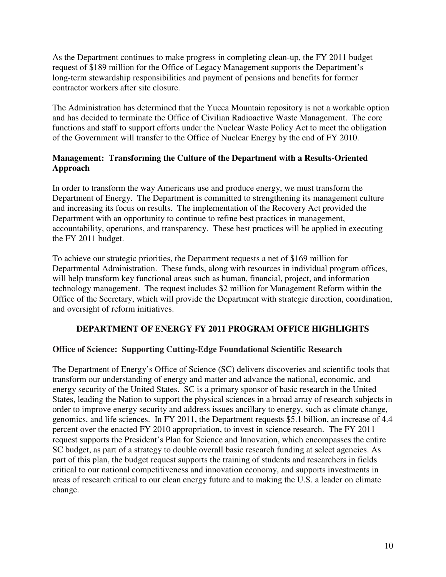As the Department continues to make progress in completing clean-up, the FY 2011 budget request of \$189 million for the Office of Legacy Management supports the Department's long-term stewardship responsibilities and payment of pensions and benefits for former contractor workers after site closure.

The Administration has determined that the Yucca Mountain repository is not a workable option and has decided to terminate the Office of Civilian Radioactive Waste Management. The core functions and staff to support efforts under the Nuclear Waste Policy Act to meet the obligation of the Government will transfer to the Office of Nuclear Energy by the end of FY 2010.

## **Management: Transforming the Culture of the Department with a Results-Oriented Approach**

In order to transform the way Americans use and produce energy, we must transform the Department of Energy. The Department is committed to strengthening its management culture and increasing its focus on results. The implementation of the Recovery Act provided the Department with an opportunity to continue to refine best practices in management, accountability, operations, and transparency. These best practices will be applied in executing the FY 2011 budget.

To achieve our strategic priorities, the Department requests a net of \$169 million for Departmental Administration. These funds, along with resources in individual program offices, will help transform key functional areas such as human, financial, project, and information technology management. The request includes \$2 million for Management Reform within the Office of the Secretary, which will provide the Department with strategic direction, coordination, and oversight of reform initiatives.

## **DEPARTMENT OF ENERGY FY 2011 PROGRAM OFFICE HIGHLIGHTS**

## **Office of Science: Supporting Cutting-Edge Foundational Scientific Research**

The Department of Energy's Office of Science (SC) delivers discoveries and scientific tools that transform our understanding of energy and matter and advance the national, economic, and energy security of the United States. SC is a primary sponsor of basic research in the United States, leading the Nation to support the physical sciences in a broad array of research subjects in order to improve energy security and address issues ancillary to energy, such as climate change, genomics, and life sciences. In FY 2011, the Department requests \$5.1 billion, an increase of 4.4 percent over the enacted FY 2010 appropriation, to invest in science research. The FY 2011 request supports the President's Plan for Science and Innovation, which encompasses the entire SC budget, as part of a strategy to double overall basic research funding at select agencies. As part of this plan, the budget request supports the training of students and researchers in fields critical to our national competitiveness and innovation economy, and supports investments in areas of research critical to our clean energy future and to making the U.S. a leader on climate change.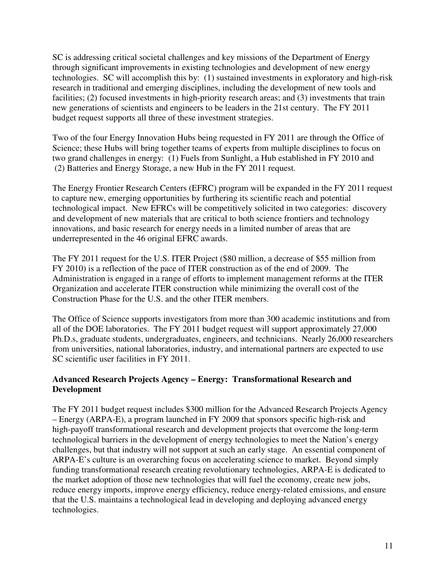SC is addressing critical societal challenges and key missions of the Department of Energy through significant improvements in existing technologies and development of new energy technologies. SC will accomplish this by: (1) sustained investments in exploratory and high-risk research in traditional and emerging disciplines, including the development of new tools and facilities; (2) focused investments in high-priority research areas; and (3) investments that train new generations of scientists and engineers to be leaders in the 21st century. The FY 2011 budget request supports all three of these investment strategies.

Two of the four Energy Innovation Hubs being requested in FY 2011 are through the Office of Science; these Hubs will bring together teams of experts from multiple disciplines to focus on two grand challenges in energy: (1) Fuels from Sunlight, a Hub established in FY 2010 and (2) Batteries and Energy Storage, a new Hub in the FY 2011 request.

The Energy Frontier Research Centers (EFRC) program will be expanded in the FY 2011 request to capture new, emerging opportunities by furthering its scientific reach and potential technological impact. New EFRCs will be competitively solicited in two categories: discovery and development of new materials that are critical to both science frontiers and technology innovations, and basic research for energy needs in a limited number of areas that are underrepresented in the 46 original EFRC awards.

The FY 2011 request for the U.S. ITER Project (\$80 million, a decrease of \$55 million from FY 2010) is a reflection of the pace of ITER construction as of the end of 2009. The Administration is engaged in a range of efforts to implement management reforms at the ITER Organization and accelerate ITER construction while minimizing the overall cost of the Construction Phase for the U.S. and the other ITER members.

The Office of Science supports investigators from more than 300 academic institutions and from all of the DOE laboratories. The FY 2011 budget request will support approximately 27,000 Ph.D.s, graduate students, undergraduates, engineers, and technicians. Nearly 26,000 researchers from universities, national laboratories, industry, and international partners are expected to use SC scientific user facilities in FY 2011.

# **Advanced Research Projects Agency – Energy: Transformational Research and Development**

The FY 2011 budget request includes \$300 million for the Advanced Research Projects Agency – Energy (ARPA-E), a program launched in FY 2009 that sponsors specific high-risk and high-payoff transformational research and development projects that overcome the long-term technological barriers in the development of energy technologies to meet the Nation's energy challenges, but that industry will not support at such an early stage. An essential component of ARPA-E's culture is an overarching focus on accelerating science to market. Beyond simply funding transformational research creating revolutionary technologies, ARPA-E is dedicated to the market adoption of those new technologies that will fuel the economy, create new jobs, reduce energy imports, improve energy efficiency, reduce energy-related emissions, and ensure that the U.S. maintains a technological lead in developing and deploying advanced energy technologies.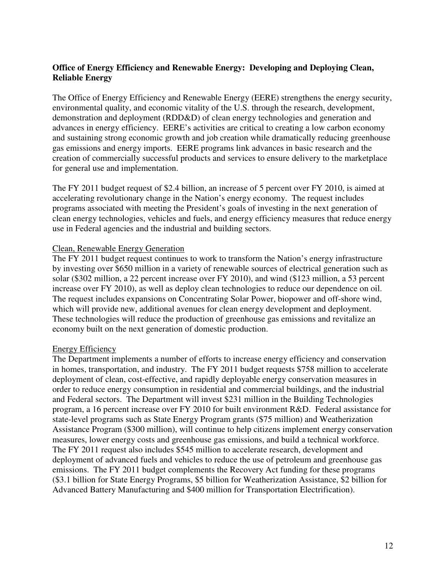## **Office of Energy Efficiency and Renewable Energy: Developing and Deploying Clean, Reliable Energy**

The Office of Energy Efficiency and Renewable Energy (EERE) strengthens the energy security, environmental quality, and economic vitality of the U.S. through the research, development, demonstration and deployment (RDD&D) of clean energy technologies and generation and advances in energy efficiency. EERE's activities are critical to creating a low carbon economy and sustaining strong economic growth and job creation while dramatically reducing greenhouse gas emissions and energy imports. EERE programs link advances in basic research and the creation of commercially successful products and services to ensure delivery to the marketplace for general use and implementation.

The FY 2011 budget request of \$2.4 billion, an increase of 5 percent over FY 2010, is aimed at accelerating revolutionary change in the Nation's energy economy. The request includes programs associated with meeting the President's goals of investing in the next generation of clean energy technologies, vehicles and fuels, and energy efficiency measures that reduce energy use in Federal agencies and the industrial and building sectors.

#### Clean, Renewable Energy Generation

The FY 2011 budget request continues to work to transform the Nation's energy infrastructure by investing over \$650 million in a variety of renewable sources of electrical generation such as solar (\$302 million, a 22 percent increase over FY 2010), and wind (\$123 million, a 53 percent increase over FY 2010), as well as deploy clean technologies to reduce our dependence on oil. The request includes expansions on Concentrating Solar Power, biopower and off-shore wind, which will provide new, additional avenues for clean energy development and deployment. These technologies will reduce the production of greenhouse gas emissions and revitalize an economy built on the next generation of domestic production.

#### Energy Efficiency

The Department implements a number of efforts to increase energy efficiency and conservation in homes, transportation, and industry. The FY 2011 budget requests \$758 million to accelerate deployment of clean, cost-effective, and rapidly deployable energy conservation measures in order to reduce energy consumption in residential and commercial buildings, and the industrial and Federal sectors. The Department will invest \$231 million in the Building Technologies program, a 16 percent increase over FY 2010 for built environment R&D. Federal assistance for state-level programs such as State Energy Program grants (\$75 million) and Weatherization Assistance Program (\$300 million), will continue to help citizens implement energy conservation measures, lower energy costs and greenhouse gas emissions, and build a technical workforce. The FY 2011 request also includes \$545 million to accelerate research, development and deployment of advanced fuels and vehicles to reduce the use of petroleum and greenhouse gas emissions. The FY 2011 budget complements the Recovery Act funding for these programs (\$3.1 billion for State Energy Programs, \$5 billion for Weatherization Assistance, \$2 billion for Advanced Battery Manufacturing and \$400 million for Transportation Electrification).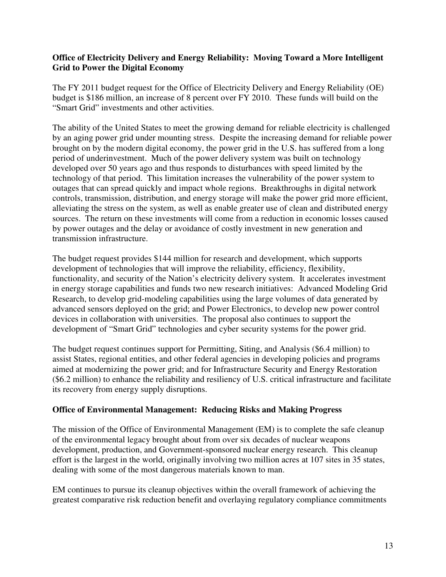#### **Office of Electricity Delivery and Energy Reliability: Moving Toward a More Intelligent Grid to Power the Digital Economy**

The FY 2011 budget request for the Office of Electricity Delivery and Energy Reliability (OE) budget is \$186 million, an increase of 8 percent over FY 2010. These funds will build on the "Smart Grid" investments and other activities.

The ability of the United States to meet the growing demand for reliable electricity is challenged by an aging power grid under mounting stress. Despite the increasing demand for reliable power brought on by the modern digital economy, the power grid in the U.S. has suffered from a long period of underinvestment. Much of the power delivery system was built on technology developed over 50 years ago and thus responds to disturbances with speed limited by the technology of that period. This limitation increases the vulnerability of the power system to outages that can spread quickly and impact whole regions. Breakthroughs in digital network controls, transmission, distribution, and energy storage will make the power grid more efficient, alleviating the stress on the system, as well as enable greater use of clean and distributed energy sources. The return on these investments will come from a reduction in economic losses caused by power outages and the delay or avoidance of costly investment in new generation and transmission infrastructure.

The budget request provides \$144 million for research and development, which supports development of technologies that will improve the reliability, efficiency, flexibility, functionality, and security of the Nation's electricity delivery system. It accelerates investment in energy storage capabilities and funds two new research initiatives: Advanced Modeling Grid Research, to develop grid-modeling capabilities using the large volumes of data generated by advanced sensors deployed on the grid; and Power Electronics, to develop new power control devices in collaboration with universities. The proposal also continues to support the development of "Smart Grid" technologies and cyber security systems for the power grid.

The budget request continues support for Permitting, Siting, and Analysis (\$6.4 million) to assist States, regional entities, and other federal agencies in developing policies and programs aimed at modernizing the power grid; and for Infrastructure Security and Energy Restoration (\$6.2 million) to enhance the reliability and resiliency of U.S. critical infrastructure and facilitate its recovery from energy supply disruptions.

## **Office of Environmental Management: Reducing Risks and Making Progress**

The mission of the Office of Environmental Management (EM) is to complete the safe cleanup of the environmental legacy brought about from over six decades of nuclear weapons development, production, and Government-sponsored nuclear energy research. This cleanup effort is the largest in the world, originally involving two million acres at 107 sites in 35 states, dealing with some of the most dangerous materials known to man.

EM continues to pursue its cleanup objectives within the overall framework of achieving the greatest comparative risk reduction benefit and overlaying regulatory compliance commitments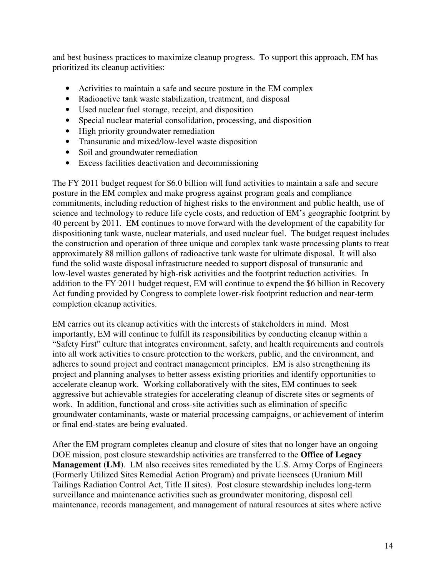and best business practices to maximize cleanup progress. To support this approach, EM has prioritized its cleanup activities:

- Activities to maintain a safe and secure posture in the EM complex
- Radioactive tank waste stabilization, treatment, and disposal
- Used nuclear fuel storage, receipt, and disposition
- Special nuclear material consolidation, processing, and disposition
- High priority groundwater remediation
- Transuranic and mixed/low-level waste disposition
- Soil and groundwater remediation
- Excess facilities deactivation and decommissioning

The FY 2011 budget request for \$6.0 billion will fund activities to maintain a safe and secure posture in the EM complex and make progress against program goals and compliance commitments, including reduction of highest risks to the environment and public health, use of science and technology to reduce life cycle costs, and reduction of EM's geographic footprint by 40 percent by 2011. EM continues to move forward with the development of the capability for dispositioning tank waste, nuclear materials, and used nuclear fuel. The budget request includes the construction and operation of three unique and complex tank waste processing plants to treat approximately 88 million gallons of radioactive tank waste for ultimate disposal. It will also fund the solid waste disposal infrastructure needed to support disposal of transuranic and low-level wastes generated by high-risk activities and the footprint reduction activities. In addition to the FY 2011 budget request, EM will continue to expend the \$6 billion in Recovery Act funding provided by Congress to complete lower-risk footprint reduction and near-term completion cleanup activities.

EM carries out its cleanup activities with the interests of stakeholders in mind. Most importantly, EM will continue to fulfill its responsibilities by conducting cleanup within a "Safety First" culture that integrates environment, safety, and health requirements and controls into all work activities to ensure protection to the workers, public, and the environment, and adheres to sound project and contract management principles. EM is also strengthening its project and planning analyses to better assess existing priorities and identify opportunities to accelerate cleanup work. Working collaboratively with the sites, EM continues to seek aggressive but achievable strategies for accelerating cleanup of discrete sites or segments of work. In addition, functional and cross-site activities such as elimination of specific groundwater contaminants, waste or material processing campaigns, or achievement of interim or final end-states are being evaluated.

After the EM program completes cleanup and closure of sites that no longer have an ongoing DOE mission, post closure stewardship activities are transferred to the **Office of Legacy Management (LM)**. LM also receives sites remediated by the U.S. Army Corps of Engineers (Formerly Utilized Sites Remedial Action Program) and private licensees (Uranium Mill Tailings Radiation Control Act, Title II sites). Post closure stewardship includes long-term surveillance and maintenance activities such as groundwater monitoring, disposal cell maintenance, records management, and management of natural resources at sites where active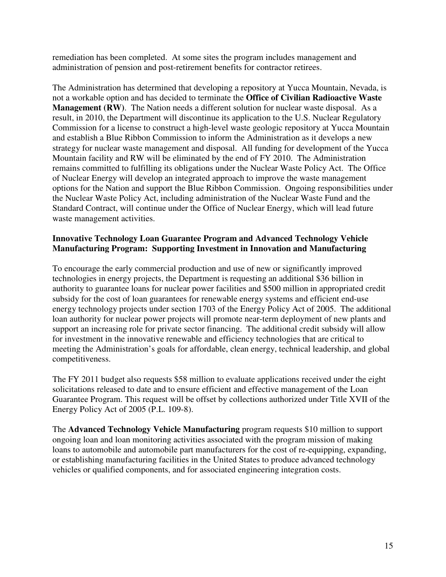remediation has been completed. At some sites the program includes management and administration of pension and post-retirement benefits for contractor retirees.

The Administration has determined that developing a repository at Yucca Mountain, Nevada, is not a workable option and has decided to terminate the **Office of Civilian Radioactive Waste Management (RW)**. The Nation needs a different solution for nuclear waste disposal. As a result, in 2010, the Department will discontinue its application to the U.S. Nuclear Regulatory Commission for a license to construct a high-level waste geologic repository at Yucca Mountain and establish a Blue Ribbon Commission to inform the Administration as it develops a new strategy for nuclear waste management and disposal. All funding for development of the Yucca Mountain facility and RW will be eliminated by the end of FY 2010. The Administration remains committed to fulfilling its obligations under the Nuclear Waste Policy Act. The Office of Nuclear Energy will develop an integrated approach to improve the waste management options for the Nation and support the Blue Ribbon Commission. Ongoing responsibilities under the Nuclear Waste Policy Act, including administration of the Nuclear Waste Fund and the Standard Contract, will continue under the Office of Nuclear Energy, which will lead future waste management activities.

## **Innovative Technology Loan Guarantee Program and Advanced Technology Vehicle Manufacturing Program: Supporting Investment in Innovation and Manufacturing**

To encourage the early commercial production and use of new or significantly improved technologies in energy projects, the Department is requesting an additional \$36 billion in authority to guarantee loans for nuclear power facilities and \$500 million in appropriated credit subsidy for the cost of loan guarantees for renewable energy systems and efficient end-use energy technology projects under section 1703 of the Energy Policy Act of 2005. The additional loan authority for nuclear power projects will promote near-term deployment of new plants and support an increasing role for private sector financing. The additional credit subsidy will allow for investment in the innovative renewable and efficiency technologies that are critical to meeting the Administration's goals for affordable, clean energy, technical leadership, and global competitiveness.

The FY 2011 budget also requests \$58 million to evaluate applications received under the eight solicitations released to date and to ensure efficient and effective management of the Loan Guarantee Program. This request will be offset by collections authorized under Title XVII of the Energy Policy Act of 2005 (P.L. 109-8).

The **Advanced Technology Vehicle Manufacturing** program requests \$10 million to support ongoing loan and loan monitoring activities associated with the program mission of making loans to automobile and automobile part manufacturers for the cost of re-equipping, expanding, or establishing manufacturing facilities in the United States to produce advanced technology vehicles or qualified components, and for associated engineering integration costs.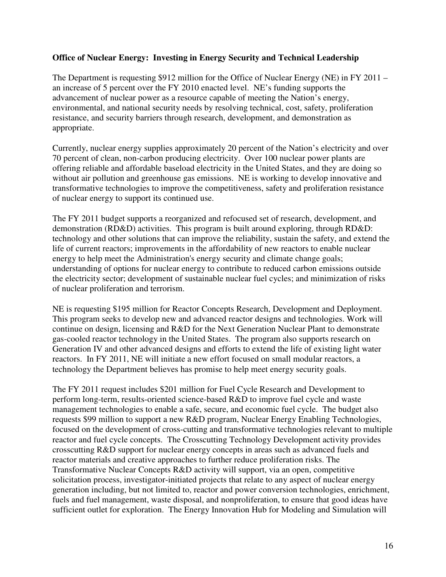#### **Office of Nuclear Energy: Investing in Energy Security and Technical Leadership**

The Department is requesting \$912 million for the Office of Nuclear Energy (NE) in FY 2011 – an increase of 5 percent over the FY 2010 enacted level. NE's funding supports the advancement of nuclear power as a resource capable of meeting the Nation's energy, environmental, and national security needs by resolving technical, cost, safety, proliferation resistance, and security barriers through research, development, and demonstration as appropriate.

Currently, nuclear energy supplies approximately 20 percent of the Nation's electricity and over 70 percent of clean, non-carbon producing electricity. Over 100 nuclear power plants are offering reliable and affordable baseload electricity in the United States, and they are doing so without air pollution and greenhouse gas emissions. NE is working to develop innovative and transformative technologies to improve the competitiveness, safety and proliferation resistance of nuclear energy to support its continued use.

The FY 2011 budget supports a reorganized and refocused set of research, development, and demonstration (RD&D) activities. This program is built around exploring, through RD&D: technology and other solutions that can improve the reliability, sustain the safety, and extend the life of current reactors; improvements in the affordability of new reactors to enable nuclear energy to help meet the Administration's energy security and climate change goals; understanding of options for nuclear energy to contribute to reduced carbon emissions outside the electricity sector; development of sustainable nuclear fuel cycles; and minimization of risks of nuclear proliferation and terrorism.

NE is requesting \$195 million for Reactor Concepts Research, Development and Deployment. This program seeks to develop new and advanced reactor designs and technologies. Work will continue on design, licensing and R&D for the Next Generation Nuclear Plant to demonstrate gas-cooled reactor technology in the United States. The program also supports research on Generation IV and other advanced designs and efforts to extend the life of existing light water reactors. In FY 2011, NE will initiate a new effort focused on small modular reactors, a technology the Department believes has promise to help meet energy security goals.

The FY 2011 request includes \$201 million for Fuel Cycle Research and Development to perform long-term, results-oriented science-based R&D to improve fuel cycle and waste management technologies to enable a safe, secure, and economic fuel cycle. The budget also requests \$99 million to support a new R&D program, Nuclear Energy Enabling Technologies, focused on the development of cross-cutting and transformative technologies relevant to multiple reactor and fuel cycle concepts. The Crosscutting Technology Development activity provides crosscutting R&D support for nuclear energy concepts in areas such as advanced fuels and reactor materials and creative approaches to further reduce proliferation risks. The Transformative Nuclear Concepts R&D activity will support, via an open, competitive solicitation process, investigator-initiated projects that relate to any aspect of nuclear energy generation including, but not limited to, reactor and power conversion technologies, enrichment, fuels and fuel management, waste disposal, and nonproliferation, to ensure that good ideas have sufficient outlet for exploration. The Energy Innovation Hub for Modeling and Simulation will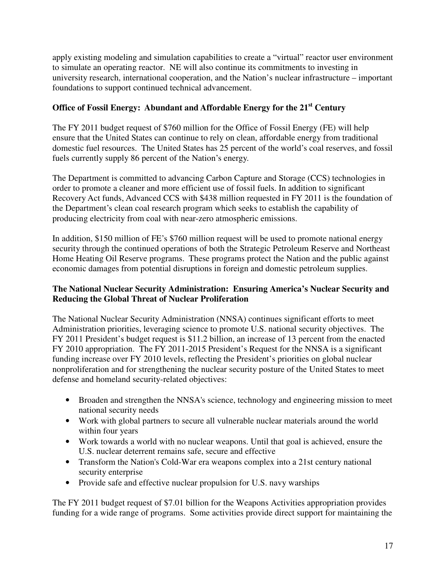apply existing modeling and simulation capabilities to create a "virtual" reactor user environment to simulate an operating reactor. NE will also continue its commitments to investing in university research, international cooperation, and the Nation's nuclear infrastructure – important foundations to support continued technical advancement.

# **Office of Fossil Energy: Abundant and Affordable Energy for the 21st Century**

The FY 2011 budget request of \$760 million for the Office of Fossil Energy (FE) will help ensure that the United States can continue to rely on clean, affordable energy from traditional domestic fuel resources. The United States has 25 percent of the world's coal reserves, and fossil fuels currently supply 86 percent of the Nation's energy.

The Department is committed to advancing Carbon Capture and Storage (CCS) technologies in order to promote a cleaner and more efficient use of fossil fuels. In addition to significant Recovery Act funds, Advanced CCS with \$438 million requested in FY 2011 is the foundation of the Department's clean coal research program which seeks to establish the capability of producing electricity from coal with near-zero atmospheric emissions.

In addition, \$150 million of FE's \$760 million request will be used to promote national energy security through the continued operations of both the Strategic Petroleum Reserve and Northeast Home Heating Oil Reserve programs. These programs protect the Nation and the public against economic damages from potential disruptions in foreign and domestic petroleum supplies.

# **The National Nuclear Security Administration: Ensuring America's Nuclear Security and Reducing the Global Threat of Nuclear Proliferation**

The National Nuclear Security Administration (NNSA) continues significant efforts to meet Administration priorities, leveraging science to promote U.S. national security objectives. The FY 2011 President's budget request is \$11.2 billion, an increase of 13 percent from the enacted FY 2010 appropriation. The FY 2011-2015 President's Request for the NNSA is a significant funding increase over FY 2010 levels, reflecting the President's priorities on global nuclear nonproliferation and for strengthening the nuclear security posture of the United States to meet defense and homeland security-related objectives:

- Broaden and strengthen the NNSA's science, technology and engineering mission to meet national security needs
- Work with global partners to secure all vulnerable nuclear materials around the world within four years
- Work towards a world with no nuclear weapons. Until that goal is achieved, ensure the U.S. nuclear deterrent remains safe, secure and effective
- Transform the Nation's Cold-War era weapons complex into a 21st century national security enterprise
- Provide safe and effective nuclear propulsion for U.S. navy warships

The FY 2011 budget request of \$7.01 billion for the Weapons Activities appropriation provides funding for a wide range of programs. Some activities provide direct support for maintaining the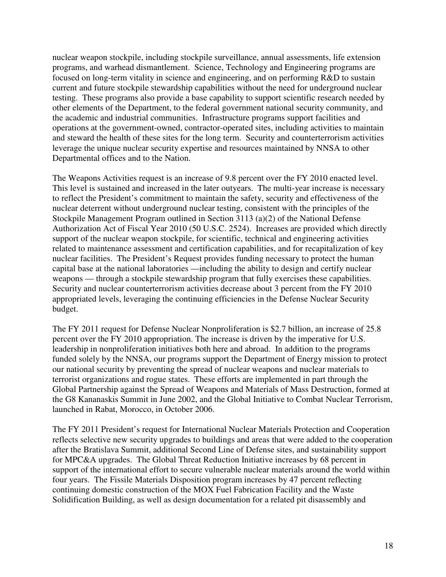nuclear weapon stockpile, including stockpile surveillance, annual assessments, life extension programs, and warhead dismantlement. Science, Technology and Engineering programs are focused on long-term vitality in science and engineering, and on performing R&D to sustain current and future stockpile stewardship capabilities without the need for underground nuclear testing. These programs also provide a base capability to support scientific research needed by other elements of the Department, to the federal government national security community, and the academic and industrial communities. Infrastructure programs support facilities and operations at the government-owned, contractor-operated sites, including activities to maintain and steward the health of these sites for the long term. Security and counterterrorism activities leverage the unique nuclear security expertise and resources maintained by NNSA to other Departmental offices and to the Nation.

The Weapons Activities request is an increase of 9.8 percent over the FY 2010 enacted level. This level is sustained and increased in the later outyears. The multi-year increase is necessary to reflect the President's commitment to maintain the safety, security and effectiveness of the nuclear deterrent without underground nuclear testing, consistent with the principles of the Stockpile Management Program outlined in Section 3113 (a)(2) of the National Defense Authorization Act of Fiscal Year 2010 (50 U.S.C. 2524). Increases are provided which directly support of the nuclear weapon stockpile, for scientific, technical and engineering activities related to maintenance assessment and certification capabilities, and for recapitalization of key nuclear facilities. The President's Request provides funding necessary to protect the human capital base at the national laboratories —including the ability to design and certify nuclear weapons — through a stockpile stewardship program that fully exercises these capabilities. Security and nuclear counterterrorism activities decrease about 3 percent from the FY 2010 appropriated levels, leveraging the continuing efficiencies in the Defense Nuclear Security budget.

The FY 2011 request for Defense Nuclear Nonproliferation is \$2.7 billion, an increase of 25.8 percent over the FY 2010 appropriation. The increase is driven by the imperative for U.S. leadership in nonproliferation initiatives both here and abroad. In addition to the programs funded solely by the NNSA, our programs support the Department of Energy mission to protect our national security by preventing the spread of nuclear weapons and nuclear materials to terrorist organizations and rogue states. These efforts are implemented in part through the Global Partnership against the Spread of Weapons and Materials of Mass Destruction, formed at the G8 Kananaskis Summit in June 2002, and the Global Initiative to Combat Nuclear Terrorism, launched in Rabat, Morocco, in October 2006.

The FY 2011 President's request for International Nuclear Materials Protection and Cooperation reflects selective new security upgrades to buildings and areas that were added to the cooperation after the Bratislava Summit, additional Second Line of Defense sites, and sustainability support for MPC&A upgrades. The Global Threat Reduction Initiative increases by 68 percent in support of the international effort to secure vulnerable nuclear materials around the world within four years. The Fissile Materials Disposition program increases by 47 percent reflecting continuing domestic construction of the MOX Fuel Fabrication Facility and the Waste Solidification Building, as well as design documentation for a related pit disassembly and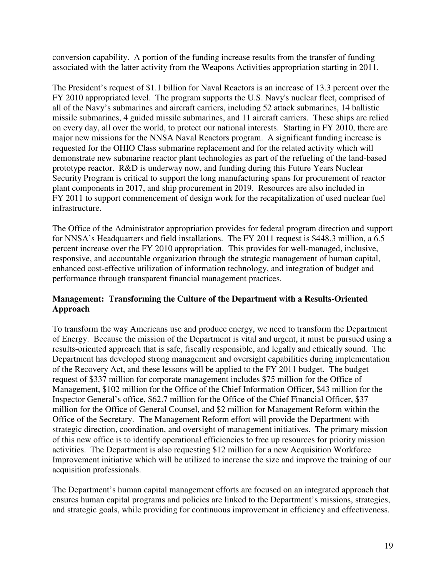conversion capability. A portion of the funding increase results from the transfer of funding associated with the latter activity from the Weapons Activities appropriation starting in 2011.

The President's request of \$1.1 billion for Naval Reactors is an increase of 13.3 percent over the FY 2010 appropriated level. The program supports the U.S. Navy's nuclear fleet, comprised of all of the Navy's submarines and aircraft carriers, including 52 attack submarines, 14 ballistic missile submarines, 4 guided missile submarines, and 11 aircraft carriers. These ships are relied on every day, all over the world, to protect our national interests. Starting in FY 2010, there are major new missions for the NNSA Naval Reactors program. A significant funding increase is requested for the OHIO Class submarine replacement and for the related activity which will demonstrate new submarine reactor plant technologies as part of the refueling of the land-based prototype reactor. R&D is underway now, and funding during this Future Years Nuclear Security Program is critical to support the long manufacturing spans for procurement of reactor plant components in 2017, and ship procurement in 2019. Resources are also included in FY 2011 to support commencement of design work for the recapitalization of used nuclear fuel infrastructure.

The Office of the Administrator appropriation provides for federal program direction and support for NNSA's Headquarters and field installations. The FY 2011 request is \$448.3 million, a 6.5 percent increase over the FY 2010 appropriation. This provides for well-managed, inclusive, responsive, and accountable organization through the strategic management of human capital, enhanced cost-effective utilization of information technology, and integration of budget and performance through transparent financial management practices.

# **Management: Transforming the Culture of the Department with a Results-Oriented Approach**

To transform the way Americans use and produce energy, we need to transform the Department of Energy. Because the mission of the Department is vital and urgent, it must be pursued using a results-oriented approach that is safe, fiscally responsible, and legally and ethically sound. The Department has developed strong management and oversight capabilities during implementation of the Recovery Act, and these lessons will be applied to the FY 2011 budget. The budget request of \$337 million for corporate management includes \$75 million for the Office of Management, \$102 million for the Office of the Chief Information Officer, \$43 million for the Inspector General's office, \$62.7 million for the Office of the Chief Financial Officer, \$37 million for the Office of General Counsel, and \$2 million for Management Reform within the Office of the Secretary. The Management Reform effort will provide the Department with strategic direction, coordination, and oversight of management initiatives. The primary mission of this new office is to identify operational efficiencies to free up resources for priority mission activities. The Department is also requesting \$12 million for a new Acquisition Workforce Improvement initiative which will be utilized to increase the size and improve the training of our acquisition professionals.

The Department's human capital management efforts are focused on an integrated approach that ensures human capital programs and policies are linked to the Department's missions, strategies, and strategic goals, while providing for continuous improvement in efficiency and effectiveness.